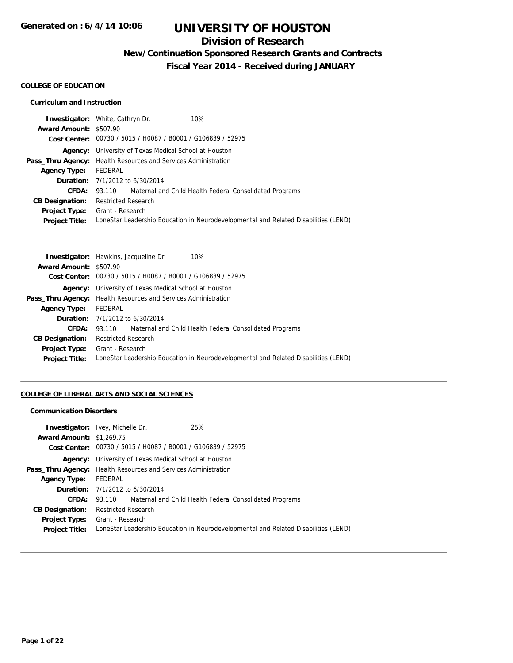## **Division of Research**

**New/Continuation Sponsored Research Grants and Contracts**

**Fiscal Year 2014 - Received during JANUARY**

### **COLLEGE OF EDUCATION**

### **Curriculum and Instruction**

|                        | <b>Investigator:</b> White, Cathryn Dr.<br>10%                                      |  |  |
|------------------------|-------------------------------------------------------------------------------------|--|--|
| Award Amount: \$507.90 |                                                                                     |  |  |
|                        | Cost Center: 00730 / 5015 / H0087 / B0001 / G106839 / 52975                         |  |  |
|                        | <b>Agency:</b> University of Texas Medical School at Houston                        |  |  |
|                        | <b>Pass_Thru Agency:</b> Health Resources and Services Administration               |  |  |
| <b>Agency Type:</b>    | FEDERAL                                                                             |  |  |
|                        | <b>Duration:</b> 7/1/2012 to 6/30/2014                                              |  |  |
| CFDA:                  | 93.110 Maternal and Child Health Federal Consolidated Programs                      |  |  |
| <b>CB Designation:</b> | <b>Restricted Research</b>                                                          |  |  |
|                        | <b>Project Type:</b> Grant - Research                                               |  |  |
| <b>Project Title:</b>  | LoneStar Leadership Education in Neurodevelopmental and Related Disabilities (LEND) |  |  |
|                        |                                                                                     |  |  |

|                        | Investigator: Hawkins, Jacqueline Dr.<br>10%                                        |  |  |
|------------------------|-------------------------------------------------------------------------------------|--|--|
| Award Amount: \$507.90 |                                                                                     |  |  |
|                        | Cost Center: 00730 / 5015 / H0087 / B0001 / G106839 / 52975                         |  |  |
|                        | <b>Agency:</b> University of Texas Medical School at Houston                        |  |  |
|                        | <b>Pass_Thru Agency:</b> Health Resources and Services Administration               |  |  |
| <b>Agency Type:</b>    | FEDERAL                                                                             |  |  |
|                        | <b>Duration:</b> 7/1/2012 to 6/30/2014                                              |  |  |
| <b>CFDA:</b>           | 93.110 Maternal and Child Health Federal Consolidated Programs                      |  |  |
| <b>CB Designation:</b> | <b>Restricted Research</b>                                                          |  |  |
|                        | <b>Project Type:</b> Grant - Research                                               |  |  |
| <b>Project Title:</b>  | LoneStar Leadership Education in Neurodevelopmental and Related Disabilities (LEND) |  |  |
|                        |                                                                                     |  |  |

### **COLLEGE OF LIBERAL ARTS AND SOCIAL SCIENCES**

#### **Communication Disorders**

| <b>Award Amount: \$1,269.75</b>               | 25%<br><b>Investigator:</b> Ivey, Michelle Dr.                        |                                                                                     |  |
|-----------------------------------------------|-----------------------------------------------------------------------|-------------------------------------------------------------------------------------|--|
|                                               | Cost Center: 00730 / 5015 / H0087 / B0001 / G106839 / 52975           |                                                                                     |  |
|                                               | <b>Agency:</b> University of Texas Medical School at Houston          |                                                                                     |  |
|                                               | <b>Pass_Thru Agency:</b> Health Resources and Services Administration |                                                                                     |  |
| <b>Agency Type:</b>                           | FEDERAL                                                               |                                                                                     |  |
|                                               | <b>Duration:</b> 7/1/2012 to 6/30/2014                                |                                                                                     |  |
| CFDA:                                         | 93.110 Maternal and Child Health Federal Consolidated Programs        |                                                                                     |  |
| <b>CB Designation:</b>                        | <b>Restricted Research</b>                                            |                                                                                     |  |
| <b>Project Type:</b><br><b>Project Title:</b> | Grant - Research                                                      | LoneStar Leadership Education in Neurodevelopmental and Related Disabilities (LEND) |  |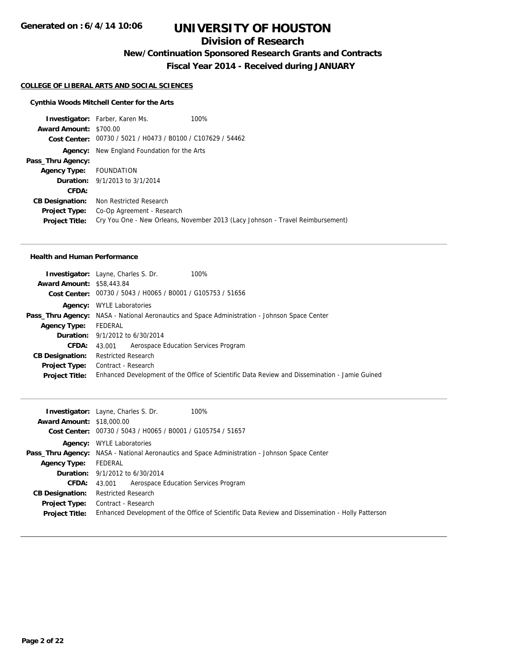## **Division of Research**

**New/Continuation Sponsored Research Grants and Contracts**

**Fiscal Year 2014 - Received during JANUARY**

#### **COLLEGE OF LIBERAL ARTS AND SOCIAL SCIENCES**

#### **Cynthia Woods Mitchell Center for the Arts**

**Investigator:** Farber, Karen Ms. 100% **Award Amount:** \$700.00 **Cost Center:** 00730 / 5021 / H0473 / B0100 / C107629 / 54462 **Agency:** New England Foundation for the Arts **Pass\_Thru Agency: Agency Type:** FOUNDATION **Duration:** 9/1/2013 to 3/1/2014 **CFDA: CB Designation:** Non Restricted Research **Project Type:** Co-Op Agreement - Research **Project Title:** Cry You One - New Orleans, November 2013 (Lacy Johnson - Travel Reimbursement)

#### **Health and Human Performance**

| 100%<br><b>Investigator:</b> Layne, Charles S. Dr.                                                   |
|------------------------------------------------------------------------------------------------------|
| <b>Award Amount: \$58,443.84</b>                                                                     |
| Cost Center: 00730 / 5043 / H0065 / B0001 / G105753 / 51656                                          |
| <b>WYLE Laboratories</b>                                                                             |
| <b>Pass_Thru Agency:</b> NASA - National Aeronautics and Space Administration - Johnson Space Center |
| FEDERAL                                                                                              |
| <b>Duration:</b> 9/1/2012 to 6/30/2014                                                               |
| Aerospace Education Services Program<br>43.001                                                       |
| <b>Restricted Research</b>                                                                           |
| Contract - Research                                                                                  |
| Enhanced Development of the Office of Scientific Data Review and Dissemination - Jamie Guined        |
|                                                                                                      |

| <b>Award Amount: \$18,000.00</b><br>Cost Center: 00730 / 5043 / H0065 / B0001 / G105754 / 51657                           |  |
|---------------------------------------------------------------------------------------------------------------------------|--|
|                                                                                                                           |  |
|                                                                                                                           |  |
| <b>Agency:</b> WYLE Laboratories                                                                                          |  |
| <b>Pass_Thru Agency:</b> NASA - National Aeronautics and Space Administration - Johnson Space Center                      |  |
| FEDERAL<br><b>Agency Type:</b>                                                                                            |  |
| <b>Duration:</b> $9/1/2012$ to $6/30/2014$                                                                                |  |
| <b>CFDA:</b> 43.001 Aerospace Education Services Program                                                                  |  |
| <b>Restricted Research</b><br><b>CB Designation:</b>                                                                      |  |
| <b>Project Type:</b> Contract - Research                                                                                  |  |
| Enhanced Development of the Office of Scientific Data Review and Dissemination - Holly Patterson<br><b>Project Title:</b> |  |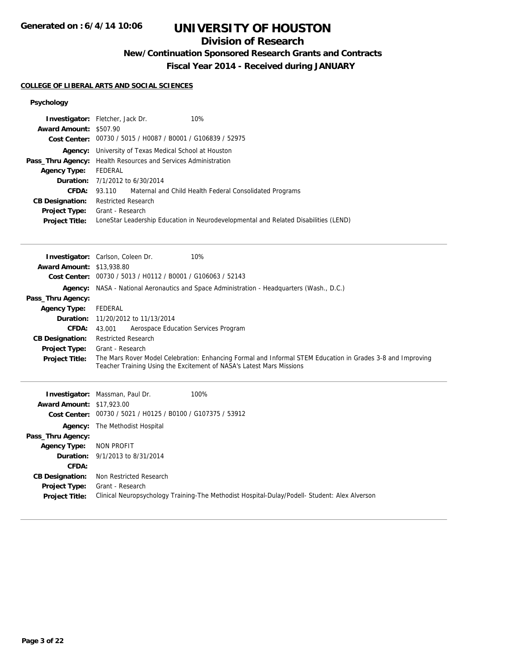## **Division of Research**

# **New/Continuation Sponsored Research Grants and Contracts**

**Fiscal Year 2014 - Received during JANUARY**

## **COLLEGE OF LIBERAL ARTS AND SOCIAL SCIENCES**

### **Psychology**

| Award Amount: \$507.90           | Investigator: Fletcher, Jack Dr.<br>10%                                                                                                                                            |  |  |  |
|----------------------------------|------------------------------------------------------------------------------------------------------------------------------------------------------------------------------------|--|--|--|
|                                  | Cost Center: 00730 / 5015 / H0087 / B0001 / G106839 / 52975                                                                                                                        |  |  |  |
|                                  | <b>Agency:</b> University of Texas Medical School at Houston                                                                                                                       |  |  |  |
| Pass_Thru Agency:                | Health Resources and Services Administration                                                                                                                                       |  |  |  |
| <b>Agency Type:</b>              | <b>FEDERAL</b>                                                                                                                                                                     |  |  |  |
| Duration:                        | 7/1/2012 to 6/30/2014                                                                                                                                                              |  |  |  |
| CFDA:                            | Maternal and Child Health Federal Consolidated Programs<br>93.110                                                                                                                  |  |  |  |
| <b>CB Designation:</b>           | <b>Restricted Research</b>                                                                                                                                                         |  |  |  |
| <b>Project Type:</b>             | Grant - Research                                                                                                                                                                   |  |  |  |
| <b>Project Title:</b>            | LoneStar Leadership Education in Neurodevelopmental and Related Disabilities (LEND)                                                                                                |  |  |  |
|                                  |                                                                                                                                                                                    |  |  |  |
|                                  | 10%<br>Investigator: Carlson, Coleen Dr.                                                                                                                                           |  |  |  |
| <b>Award Amount: \$13,938.80</b> |                                                                                                                                                                                    |  |  |  |
|                                  | Cost Center: 00730 / 5013 / H0112 / B0001 / G106063 / 52143                                                                                                                        |  |  |  |
| Agency:                          | NASA - National Aeronautics and Space Administration - Headquarters (Wash., D.C.)                                                                                                  |  |  |  |
| Pass_Thru Agency:                |                                                                                                                                                                                    |  |  |  |
| <b>Agency Type:</b>              | <b>FEDERAL</b>                                                                                                                                                                     |  |  |  |
| Duration:                        | 11/20/2012 to 11/13/2014                                                                                                                                                           |  |  |  |
| CFDA:                            | Aerospace Education Services Program<br>43.001                                                                                                                                     |  |  |  |
| <b>CB Designation:</b>           | <b>Restricted Research</b>                                                                                                                                                         |  |  |  |
| <b>Project Type:</b>             | Grant - Research                                                                                                                                                                   |  |  |  |
| <b>Project Title:</b>            | The Mars Rover Model Celebration: Enhancing Formal and Informal STEM Education in Grades 3-8 and Improving<br>Teacher Training Using the Excitement of NASA's Latest Mars Missions |  |  |  |
|                                  |                                                                                                                                                                                    |  |  |  |
|                                  | Investigator: Massman, Paul Dr.<br>100%                                                                                                                                            |  |  |  |
| <b>Award Amount: \$17,923.00</b> |                                                                                                                                                                                    |  |  |  |
|                                  | Cost Center: 00730 / 5021 / H0125 / B0100 / G107375 / 53912                                                                                                                        |  |  |  |
| Agency:                          | The Methodist Hospital                                                                                                                                                             |  |  |  |
| Pass_Thru Agency:                |                                                                                                                                                                                    |  |  |  |
| <b>Agency Type:</b>              | <b>NON PROFIT</b>                                                                                                                                                                  |  |  |  |
| Duration:                        | 9/1/2013 to 8/31/2014                                                                                                                                                              |  |  |  |
| <b>CFDA:</b>                     |                                                                                                                                                                                    |  |  |  |
| <b>CB Designation:</b>           | Non Restricted Research                                                                                                                                                            |  |  |  |
| Project Type:                    | Grant - Research                                                                                                                                                                   |  |  |  |
| <b>Project Title:</b>            | Clinical Neuropsychology Training-The Methodist Hospital-Dulay/Podell- Student: Alex Alverson                                                                                      |  |  |  |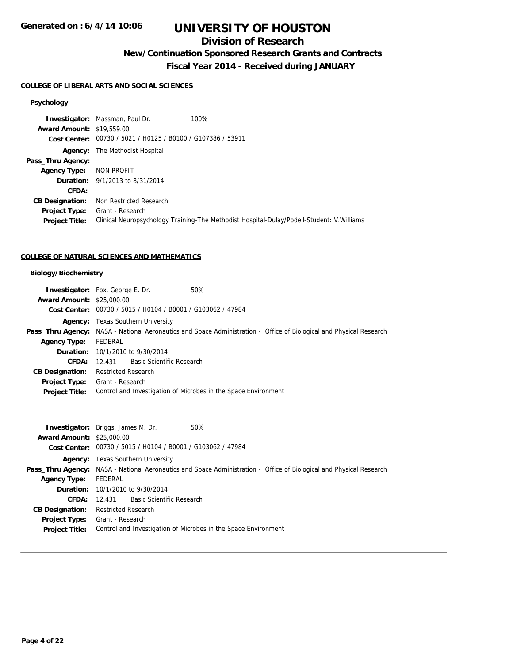## **Division of Research**

## **New/Continuation Sponsored Research Grants and Contracts**

**Fiscal Year 2014 - Received during JANUARY**

#### **COLLEGE OF LIBERAL ARTS AND SOCIAL SCIENCES**

#### **Psychology**

**Investigator:** Massman, Paul Dr. 100% **Award Amount:** \$19,559.00 **Cost Center:** 00730 / 5021 / H0125 / B0100 / G107386 / 53911 **Agency:** The Methodist Hospital **Pass\_Thru Agency: Agency Type:** NON PROFIT **Duration:** 9/1/2013 to 8/31/2014 **CFDA: CB Designation:** Non Restricted Research **Project Type:** Grant - Research **Project Title:** Clinical Neuropsychology Training-The Methodist Hospital-Dulay/Podell-Student: V.Williams

#### **COLLEGE OF NATURAL SCIENCES AND MATHEMATICS**

#### **Biology/Biochemistry**

|                                  | <b>Investigator:</b> Fox, George E. Dr.                     | 50%                                                                                                                 |
|----------------------------------|-------------------------------------------------------------|---------------------------------------------------------------------------------------------------------------------|
| <b>Award Amount: \$25,000.00</b> |                                                             |                                                                                                                     |
|                                  | Cost Center: 00730 / 5015 / H0104 / B0001 / G103062 / 47984 |                                                                                                                     |
|                                  | <b>Agency:</b> Texas Southern University                    |                                                                                                                     |
|                                  |                                                             | Pass_Thru Agency: NASA - National Aeronautics and Space Administration - Office of Biological and Physical Research |
| <b>Agency Type:</b>              | FEDERAL                                                     |                                                                                                                     |
|                                  | <b>Duration:</b> 10/1/2010 to 9/30/2014                     |                                                                                                                     |
| CFDA:                            | 12.431 Basic Scientific Research                            |                                                                                                                     |
| <b>CB Designation:</b>           | Restricted Research                                         |                                                                                                                     |
| <b>Project Type:</b>             | Grant - Research                                            |                                                                                                                     |
| <b>Project Title:</b>            |                                                             | Control and Investigation of Microbes in the Space Environment                                                      |

|                                  | <b>Investigator:</b> Briggs, James M. Dr.<br>50%                                                                    |
|----------------------------------|---------------------------------------------------------------------------------------------------------------------|
| <b>Award Amount: \$25,000.00</b> |                                                                                                                     |
|                                  | Cost Center: 00730 / 5015 / H0104 / B0001 / G103062 / 47984                                                         |
|                                  | <b>Agency:</b> Texas Southern University                                                                            |
|                                  | Pass_Thru Agency: NASA - National Aeronautics and Space Administration - Office of Biological and Physical Research |
| <b>Agency Type:</b>              | FEDERAL                                                                                                             |
|                                  | <b>Duration:</b> 10/1/2010 to 9/30/2014                                                                             |
| <b>CFDA:</b>                     | 12.431 Basic Scientific Research                                                                                    |
| <b>CB Designation:</b>           | <b>Restricted Research</b>                                                                                          |
| <b>Project Type:</b>             | Grant - Research                                                                                                    |
| <b>Project Title:</b>            | Control and Investigation of Microbes in the Space Environment                                                      |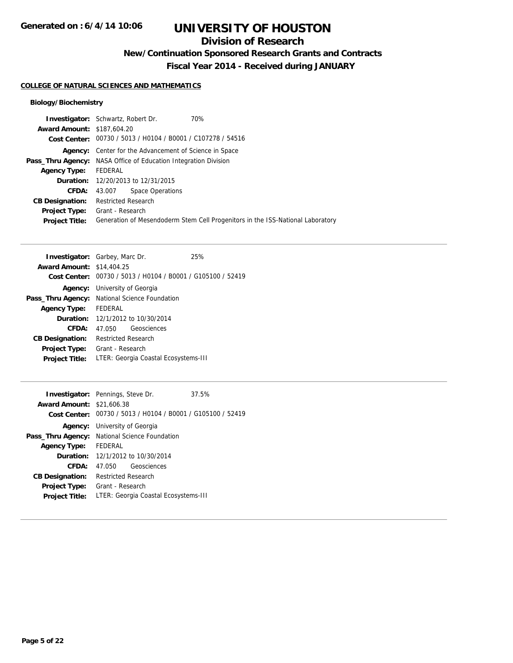## **Division of Research**

**New/Continuation Sponsored Research Grants and Contracts**

**Fiscal Year 2014 - Received during JANUARY**

### **COLLEGE OF NATURAL SCIENCES AND MATHEMATICS**

### **Biology/Biochemistry**

| <b>Investigator:</b> Schwartz, Robert Dr.                              |                            |                                                | 70%                                                                            |
|------------------------------------------------------------------------|----------------------------|------------------------------------------------|--------------------------------------------------------------------------------|
| <b>Award Amount: \$187,604.20</b>                                      |                            |                                                |                                                                                |
|                                                                        |                            |                                                | Cost Center: 00730 / 5013 / H0104 / B0001 / C107278 / 54516                    |
| Agency:                                                                |                            | Center for the Advancement of Science in Space |                                                                                |
| <b>Pass_Thru Agency:</b> NASA Office of Education Integration Division |                            |                                                |                                                                                |
| <b>Agency Type:</b>                                                    | FEDERAL                    |                                                |                                                                                |
|                                                                        |                            | <b>Duration:</b> 12/20/2013 to 12/31/2015      |                                                                                |
| <b>CFDA:</b>                                                           | 43.007                     | Space Operations                               |                                                                                |
| <b>CB Designation:</b>                                                 | <b>Restricted Research</b> |                                                |                                                                                |
| <b>Project Type:</b>                                                   | Grant - Research           |                                                |                                                                                |
| <b>Project Title:</b>                                                  |                            |                                                | Generation of Mesendoderm Stem Cell Progenitors in the ISS-National Laboratory |
|                                                                        |                            |                                                |                                                                                |

| <b>Investigator:</b> Garbey, Marc Dr. |                                                             |             | 25% |
|---------------------------------------|-------------------------------------------------------------|-------------|-----|
| <b>Award Amount: \$14,404.25</b>      |                                                             |             |     |
|                                       | Cost Center: 00730 / 5013 / H0104 / B0001 / G105100 / 52419 |             |     |
|                                       | <b>Agency:</b> University of Georgia                        |             |     |
|                                       | Pass_Thru Agency: National Science Foundation               |             |     |
| <b>Agency Type:</b>                   | FEDERAL                                                     |             |     |
|                                       | <b>Duration:</b> 12/1/2012 to 10/30/2014                    |             |     |
| CFDA:                                 | 47.050                                                      | Geosciences |     |
| <b>CB Designation:</b>                | <b>Restricted Research</b>                                  |             |     |
| <b>Project Type:</b>                  | Grant - Research                                            |             |     |
| <b>Project Title:</b>                 | LTER: Georgia Coastal Ecosystems-III                        |             |     |

| <b>Award Amount: \$21,606.38</b> | <b>Investigator:</b> Pennings, Steve Dr.                                                            | 37.5% |  |
|----------------------------------|-----------------------------------------------------------------------------------------------------|-------|--|
|                                  | Cost Center: 00730 / 5013 / H0104 / B0001 / G105100 / 52419<br><b>Agency:</b> University of Georgia |       |  |
| Pass_Thru Agency:                | <b>National Science Foundation</b>                                                                  |       |  |
| <b>Agency Type:</b>              | FFDFRAI                                                                                             |       |  |
|                                  | <b>Duration:</b> 12/1/2012 to 10/30/2014                                                            |       |  |
| CFDA:                            | Geosciences<br>47.050                                                                               |       |  |
| <b>CB Designation:</b>           | Restricted Research                                                                                 |       |  |
| <b>Project Type:</b>             | Grant - Research                                                                                    |       |  |
| <b>Project Title:</b>            | LTER: Georgia Coastal Ecosystems-III                                                                |       |  |
|                                  |                                                                                                     |       |  |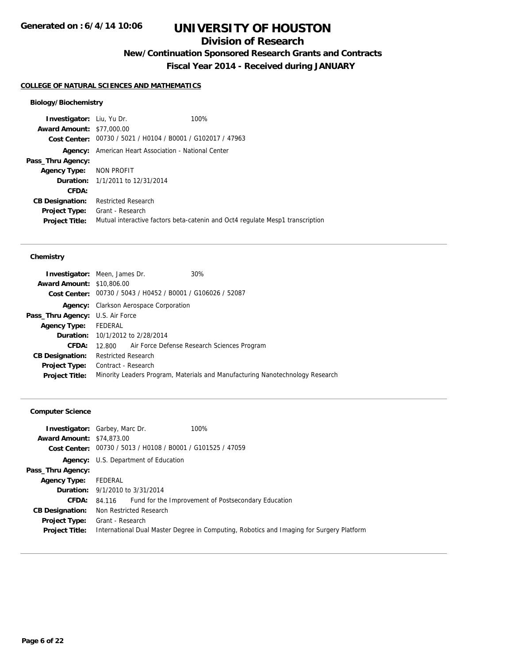## **Division of Research**

**New/Continuation Sponsored Research Grants and Contracts**

**Fiscal Year 2014 - Received during JANUARY**

### **COLLEGE OF NATURAL SCIENCES AND MATHEMATICS**

### **Biology/Biochemistry**

| <b>Investigator:</b> Liu, Yu Dr. | 100%                                                                          |  |
|----------------------------------|-------------------------------------------------------------------------------|--|
| <b>Award Amount: \$77,000.00</b> |                                                                               |  |
|                                  | Cost Center: 00730 / 5021 / H0104 / B0001 / G102017 / 47963                   |  |
|                                  | <b>Agency:</b> American Heart Association - National Center                   |  |
| Pass_Thru Agency:                |                                                                               |  |
| Agency Type: NON PROFIT          |                                                                               |  |
|                                  | <b>Duration:</b> 1/1/2011 to 12/31/2014                                       |  |
| CFDA:                            |                                                                               |  |
| <b>CB Designation:</b>           | <b>Restricted Research</b>                                                    |  |
| <b>Project Type:</b>             | Grant - Research                                                              |  |
| <b>Project Title:</b>            | Mutual interactive factors beta-catenin and Oct4 regulate Mesp1 transcription |  |

#### **Chemistry**

|                                         | <b>Investigator:</b> Meen, James Dr.                        | 30%                                                                           |  |
|-----------------------------------------|-------------------------------------------------------------|-------------------------------------------------------------------------------|--|
| <b>Award Amount: \$10,806.00</b>        |                                                             |                                                                               |  |
|                                         | Cost Center: 00730 / 5043 / H0452 / B0001 / G106026 / 52087 |                                                                               |  |
| Agency:                                 | Clarkson Aerospace Corporation                              |                                                                               |  |
| <b>Pass_Thru Agency:</b> U.S. Air Force |                                                             |                                                                               |  |
| Agency Type: FEDERAL                    |                                                             |                                                                               |  |
|                                         | <b>Duration:</b> 10/1/2012 to 2/28/2014                     |                                                                               |  |
| CFDA:                                   | 12.800 Air Force Defense Research Sciences Program          |                                                                               |  |
| <b>CB Designation:</b>                  | <b>Restricted Research</b>                                  |                                                                               |  |
| <b>Project Type:</b>                    | Contract - Research                                         |                                                                               |  |
| <b>Project Title:</b>                   |                                                             | Minority Leaders Program, Materials and Manufacturing Nanotechnology Research |  |
|                                         |                                                             |                                                                               |  |

### **Computer Science**

| <b>Award Amount: \$74,873,00</b> | 100%<br><b>Investigator:</b> Garbey, Marc Dr.                                            |
|----------------------------------|------------------------------------------------------------------------------------------|
|                                  | Cost Center: 00730 / 5013 / H0108 / B0001 / G101525 / 47059                              |
|                                  | Agency: U.S. Department of Education                                                     |
| Pass_Thru Agency:                |                                                                                          |
| <b>Agency Type:</b>              | FEDERAL                                                                                  |
|                                  | <b>Duration:</b> 9/1/2010 to 3/31/2014                                                   |
| <b>CFDA:</b>                     | Fund for the Improvement of Postsecondary Education<br>84.116                            |
| <b>CB Designation:</b>           | Non Restricted Research                                                                  |
| <b>Project Type:</b>             | Grant - Research                                                                         |
| <b>Project Title:</b>            | International Dual Master Degree in Computing, Robotics and Imaging for Surgery Platform |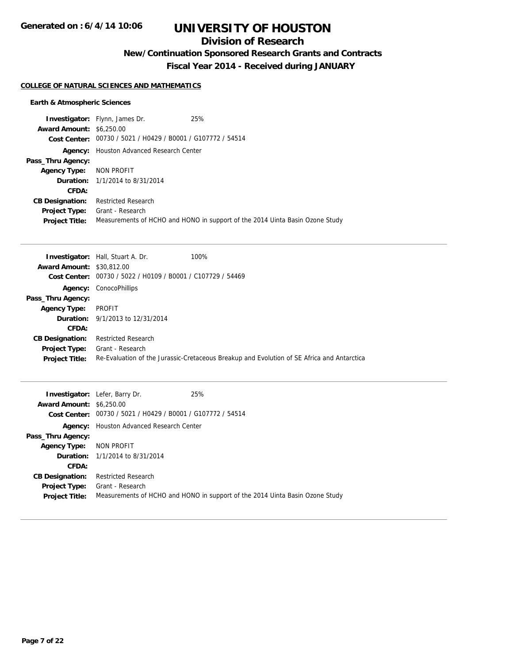## **Division of Research**

## **New/Continuation Sponsored Research Grants and Contracts**

**Fiscal Year 2014 - Received during JANUARY**

#### **COLLEGE OF NATURAL SCIENCES AND MATHEMATICS**

### **Earth & Atmospheric Sciences**

|                                 | <b>Investigator:</b> Flynn, James Dr.                       | 25%                                                                          |
|---------------------------------|-------------------------------------------------------------|------------------------------------------------------------------------------|
| <b>Award Amount: \$6,250.00</b> |                                                             |                                                                              |
|                                 | Cost Center: 00730 / 5021 / H0429 / B0001 / G107772 / 54514 |                                                                              |
| Agency:                         | Houston Advanced Research Center                            |                                                                              |
| Pass_Thru Agency:               |                                                             |                                                                              |
| <b>Agency Type:</b>             | NON PROFIT                                                  |                                                                              |
|                                 | <b>Duration:</b> 1/1/2014 to 8/31/2014                      |                                                                              |
| CFDA:                           |                                                             |                                                                              |
| <b>CB Designation:</b>          | <b>Restricted Research</b>                                  |                                                                              |
| <b>Project Type:</b>            | Grant - Research                                            |                                                                              |
| <b>Project Title:</b>           |                                                             | Measurements of HCHO and HONO in support of the 2014 Uinta Basin Ozone Study |

|                                  | <b>Investigator:</b> Hall, Stuart A. Dr.       | 100%                                                                                       |
|----------------------------------|------------------------------------------------|--------------------------------------------------------------------------------------------|
| <b>Award Amount: \$30,812,00</b> |                                                |                                                                                            |
| <b>Cost Center:</b>              | 00730 / 5022 / H0109 / B0001 / C107729 / 54469 |                                                                                            |
|                                  | <b>Agency: ConocoPhillips</b>                  |                                                                                            |
| Pass_Thru Agency:                |                                                |                                                                                            |
| <b>Agency Type:</b>              | PROFIT                                         |                                                                                            |
|                                  | <b>Duration:</b> 9/1/2013 to 12/31/2014        |                                                                                            |
| CFDA:                            |                                                |                                                                                            |
| <b>CB Designation:</b>           | <b>Restricted Research</b>                     |                                                                                            |
| <b>Project Type:</b>             | Grant - Research                               |                                                                                            |
| <b>Project Title:</b>            |                                                | Re-Evaluation of the Jurassic-Cretaceous Breakup and Evolution of SE Africa and Antarctica |

|                                 | <b>Investigator:</b> Lefer, Barry Dr.                       | 25%                                                                          |
|---------------------------------|-------------------------------------------------------------|------------------------------------------------------------------------------|
| <b>Award Amount: \$6,250.00</b> |                                                             |                                                                              |
|                                 | Cost Center: 00730 / 5021 / H0429 / B0001 / G107772 / 54514 |                                                                              |
| Agency:                         | Houston Advanced Research Center                            |                                                                              |
| Pass_Thru Agency:               |                                                             |                                                                              |
| <b>Agency Type: NON PROFIT</b>  |                                                             |                                                                              |
|                                 | <b>Duration:</b> 1/1/2014 to 8/31/2014                      |                                                                              |
| CFDA:                           |                                                             |                                                                              |
| <b>CB Designation:</b>          | <b>Restricted Research</b>                                  |                                                                              |
| <b>Project Type:</b>            | Grant - Research                                            |                                                                              |
| <b>Project Title:</b>           |                                                             | Measurements of HCHO and HONO in support of the 2014 Uinta Basin Ozone Study |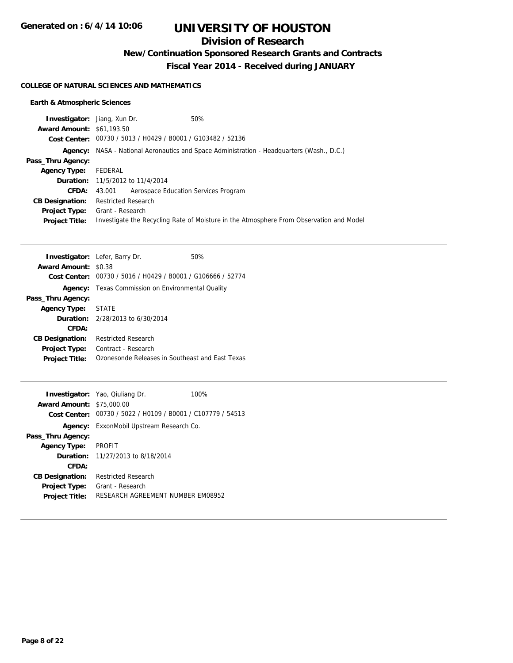## **Division of Research**

**New/Continuation Sponsored Research Grants and Contracts**

**Fiscal Year 2014 - Received during JANUARY**

#### **COLLEGE OF NATURAL SCIENCES AND MATHEMATICS**

### **Earth & Atmospheric Sciences**

| <b>Investigator:</b> Jiang, Xun Dr. |                                                             | 50%                                                                                       |
|-------------------------------------|-------------------------------------------------------------|-------------------------------------------------------------------------------------------|
| <b>Award Amount: \$61,193.50</b>    |                                                             |                                                                                           |
|                                     | Cost Center: 00730 / 5013 / H0429 / B0001 / G103482 / 52136 |                                                                                           |
|                                     |                                                             | Agency: NASA - National Aeronautics and Space Administration - Headquarters (Wash., D.C.) |
| Pass_Thru Agency:                   |                                                             |                                                                                           |
| <b>Agency Type:</b>                 | FEDERAL                                                     |                                                                                           |
|                                     | <b>Duration:</b> 11/5/2012 to 11/4/2014                     |                                                                                           |
| <b>CFDA:</b>                        | 43.001 Aerospace Education Services Program                 |                                                                                           |
| <b>CB Designation:</b>              | Restricted Research                                         |                                                                                           |
| Project Type:                       | Grant - Research                                            |                                                                                           |
| <b>Project Title:</b>               |                                                             | Investigate the Recycling Rate of Moisture in the Atmosphere From Observation and Model   |

|                        | <b>Investigator:</b> Lefer, Barry Dr.           | 50% |
|------------------------|-------------------------------------------------|-----|
| <b>Award Amount:</b>   | \$0.38                                          |     |
| Cost Center:           | 00730 / 5016 / H0429 / B0001 / G106666 / 52774  |     |
| Agency:                | Texas Commission on Environmental Quality       |     |
| Pass_Thru Agency:      |                                                 |     |
| Agency Type: STATE     |                                                 |     |
|                        | <b>Duration:</b> $2/28/2013$ to $6/30/2014$     |     |
| CFDA:                  |                                                 |     |
| <b>CB Designation:</b> | Restricted Research                             |     |
| <b>Project Type:</b>   | Contract - Research                             |     |
| <b>Project Title:</b>  | Ozonesonde Releases in Southeast and East Texas |     |

|                                  | <b>Investigator:</b> Yao, Qiuliang Dr.                      | 100% |
|----------------------------------|-------------------------------------------------------------|------|
| <b>Award Amount: \$75,000.00</b> |                                                             |      |
|                                  | Cost Center: 00730 / 5022 / H0109 / B0001 / C107779 / 54513 |      |
|                                  | <b>Agency:</b> ExxonMobil Upstream Research Co.             |      |
| Pass_Thru Agency:                |                                                             |      |
| <b>Agency Type:</b>              | <b>PROFIT</b>                                               |      |
|                                  | <b>Duration:</b> 11/27/2013 to 8/18/2014                    |      |
| CFDA:                            |                                                             |      |
| <b>CB Designation:</b>           | <b>Restricted Research</b>                                  |      |
| <b>Project Type:</b>             | Grant - Research                                            |      |
| <b>Project Title:</b>            | RESEARCH AGREEMENT NUMBER EM08952                           |      |
|                                  |                                                             |      |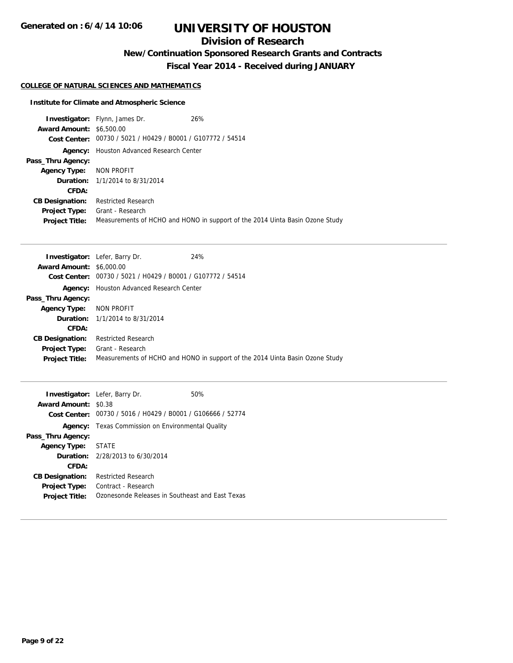## **Division of Research**

**New/Continuation Sponsored Research Grants and Contracts**

**Fiscal Year 2014 - Received during JANUARY**

### **COLLEGE OF NATURAL SCIENCES AND MATHEMATICS**

### **Institute for Climate and Atmospheric Science**

|                                 | <b>Investigator:</b> Flynn, James Dr.                       | 26%                                                                          |
|---------------------------------|-------------------------------------------------------------|------------------------------------------------------------------------------|
| <b>Award Amount: \$6,500.00</b> |                                                             |                                                                              |
|                                 | Cost Center: 00730 / 5021 / H0429 / B0001 / G107772 / 54514 |                                                                              |
| Agency:                         | Houston Advanced Research Center                            |                                                                              |
| Pass_Thru Agency:               |                                                             |                                                                              |
| <b>Agency Type:</b>             | NON PROFIT                                                  |                                                                              |
|                                 | <b>Duration:</b> 1/1/2014 to 8/31/2014                      |                                                                              |
| CFDA:                           |                                                             |                                                                              |
| <b>CB Designation:</b>          | <b>Restricted Research</b>                                  |                                                                              |
| <b>Project Type:</b>            | Grant - Research                                            |                                                                              |
| <b>Project Title:</b>           |                                                             | Measurements of HCHO and HONO in support of the 2014 Uinta Basin Ozone Study |

| <b>Investigator:</b> Lefer, Barry Dr.                          | 24%                                                                          |
|----------------------------------------------------------------|------------------------------------------------------------------------------|
| <b>Award Amount: \$6,000.00</b>                                |                                                                              |
| 00730 / 5021 / H0429 / B0001 / G107772 / 54514<br>Cost Center: |                                                                              |
| <b>Agency:</b> Houston Advanced Research Center                |                                                                              |
|                                                                |                                                                              |
| NON PROFIT                                                     |                                                                              |
| <b>Duration:</b> 1/1/2014 to 8/31/2014                         |                                                                              |
|                                                                |                                                                              |
| <b>Restricted Research</b>                                     |                                                                              |
| Grant - Research                                               |                                                                              |
|                                                                | Measurements of HCHO and HONO in support of the 2014 Uinta Basin Ozone Study |
|                                                                |                                                                              |

|                             | <b>Investigator:</b> Lefer, Barry Dr.                       | 50% |
|-----------------------------|-------------------------------------------------------------|-----|
| <b>Award Amount: \$0.38</b> |                                                             |     |
|                             | Cost Center: 00730 / 5016 / H0429 / B0001 / G106666 / 52774 |     |
| Agency:                     | Texas Commission on Environmental Quality                   |     |
| Pass_Thru Agency:           |                                                             |     |
| Agency Type: STATE          |                                                             |     |
|                             | <b>Duration:</b> 2/28/2013 to 6/30/2014                     |     |
| CFDA:                       |                                                             |     |
| <b>CB Designation:</b>      | <b>Restricted Research</b>                                  |     |
| <b>Project Type:</b>        | Contract - Research                                         |     |
| <b>Project Title:</b>       | Ozonesonde Releases in Southeast and East Texas             |     |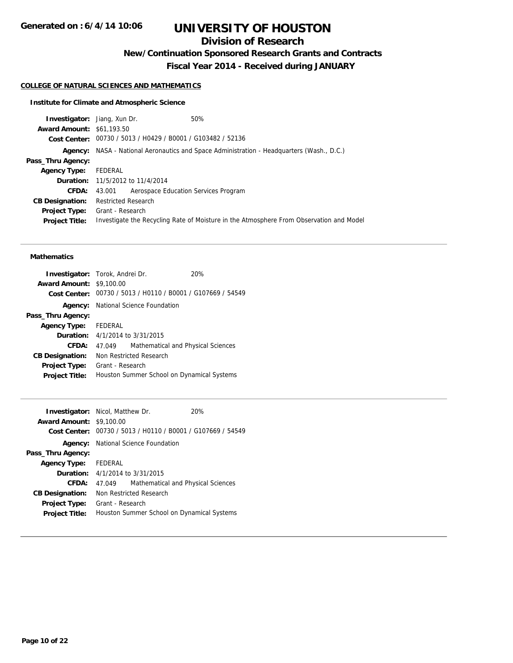## **Division of Research**

**New/Continuation Sponsored Research Grants and Contracts**

**Fiscal Year 2014 - Received during JANUARY**

## **COLLEGE OF NATURAL SCIENCES AND MATHEMATICS**

### **Institute for Climate and Atmospheric Science**

| <b>Investigator:</b> Jiang, Xun Dr. |                                                             | 50%                                                                                       |
|-------------------------------------|-------------------------------------------------------------|-------------------------------------------------------------------------------------------|
| <b>Award Amount: \$61,193.50</b>    |                                                             |                                                                                           |
|                                     | Cost Center: 00730 / 5013 / H0429 / B0001 / G103482 / 52136 |                                                                                           |
|                                     |                                                             | Agency: NASA - National Aeronautics and Space Administration - Headquarters (Wash., D.C.) |
| Pass_Thru Agency:                   |                                                             |                                                                                           |
| <b>Agency Type:</b>                 | FEDERAL                                                     |                                                                                           |
|                                     | Duration: 11/5/2012 to 11/4/2014                            |                                                                                           |
| <b>CFDA:</b>                        | Aerospace Education Services Program<br>43.001              |                                                                                           |
| <b>CB Designation:</b>              | <b>Restricted Research</b>                                  |                                                                                           |
| <b>Project Title:</b>               | <b>Project Type:</b> Grant - Research                       | Investigate the Recycling Rate of Moisture in the Atmosphere From Observation and Model   |

#### **Mathematics**

|                                 | <b>Investigator:</b> Torok, Andrei Dr.     | 20%                                                         |  |
|---------------------------------|--------------------------------------------|-------------------------------------------------------------|--|
| <b>Award Amount: \$9,100.00</b> |                                            |                                                             |  |
|                                 |                                            | Cost Center: 00730 / 5013 / H0110 / B0001 / G107669 / 54549 |  |
|                                 | <b>Agency:</b> National Science Foundation |                                                             |  |
| Pass_Thru Agency:               |                                            |                                                             |  |
| <b>Agency Type:</b>             | FEDERAL                                    |                                                             |  |
|                                 | <b>Duration:</b> 4/1/2014 to 3/31/2015     |                                                             |  |
| CFDA:                           | 47.049                                     | Mathematical and Physical Sciences                          |  |
| <b>CB Designation:</b>          | Non Restricted Research                    |                                                             |  |
| <b>Project Type:</b>            | Grant - Research                           |                                                             |  |
| <b>Project Title:</b>           | Houston Summer School on Dynamical Systems |                                                             |  |

| <b>Investigator:</b> Nicol, Matthew Dr. |                                            |                                                             | 20% |
|-----------------------------------------|--------------------------------------------|-------------------------------------------------------------|-----|
| <b>Award Amount: \$9,100.00</b>         |                                            |                                                             |     |
|                                         |                                            | Cost Center: 00730 / 5013 / H0110 / B0001 / G107669 / 54549 |     |
|                                         |                                            | <b>Agency:</b> National Science Foundation                  |     |
| Pass_Thru Agency:                       |                                            |                                                             |     |
| Agency Type: FEDERAL                    |                                            |                                                             |     |
|                                         | <b>Duration:</b> $4/1/2014$ to $3/31/2015$ |                                                             |     |
| CFDA:                                   | 47.049                                     | Mathematical and Physical Sciences                          |     |
| <b>CB Designation:</b>                  | Non Restricted Research                    |                                                             |     |
| <b>Project Type:</b>                    | Grant - Research                           |                                                             |     |
| <b>Project Title:</b>                   | Houston Summer School on Dynamical Systems |                                                             |     |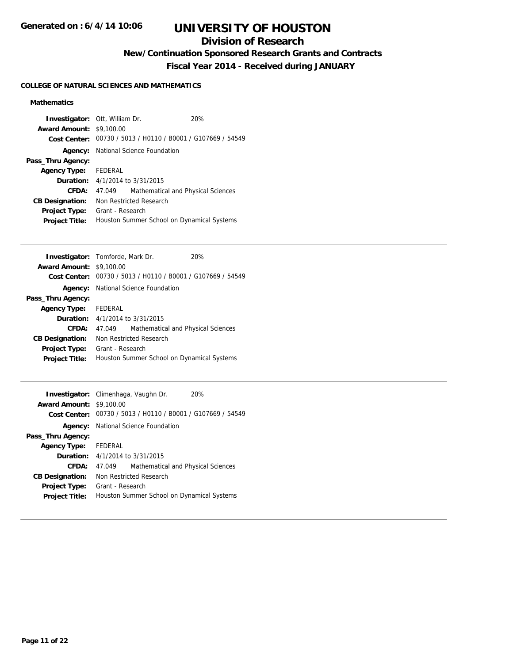## **Division of Research**

**New/Continuation Sponsored Research Grants and Contracts**

**Fiscal Year 2014 - Received during JANUARY**

### **COLLEGE OF NATURAL SCIENCES AND MATHEMATICS**

### **Mathematics**

| <b>Investigator: Ott, William Dr.</b> |                                            |                                                             | 20% |
|---------------------------------------|--------------------------------------------|-------------------------------------------------------------|-----|
| <b>Award Amount: \$9,100.00</b>       |                                            |                                                             |     |
|                                       |                                            | Cost Center: 00730 / 5013 / H0110 / B0001 / G107669 / 54549 |     |
|                                       |                                            | <b>Agency:</b> National Science Foundation                  |     |
| Pass_Thru Agency:                     |                                            |                                                             |     |
| Agency Type: FEDERAL                  |                                            |                                                             |     |
|                                       | <b>Duration:</b> 4/1/2014 to 3/31/2015     |                                                             |     |
| CFDA:                                 | 47.049                                     | Mathematical and Physical Sciences                          |     |
| <b>CB Designation:</b>                | Non Restricted Research                    |                                                             |     |
| <b>Project Type:</b>                  | Grant - Research                           |                                                             |     |
| <b>Project Title:</b>                 | Houston Summer School on Dynamical Systems |                                                             |     |

| <b>Investigator:</b> Tomforde, Mark Dr. |                                            |                                                             | 20% |
|-----------------------------------------|--------------------------------------------|-------------------------------------------------------------|-----|
| <b>Award Amount: \$9,100.00</b>         |                                            |                                                             |     |
|                                         |                                            | Cost Center: 00730 / 5013 / H0110 / B0001 / G107669 / 54549 |     |
|                                         |                                            | <b>Agency:</b> National Science Foundation                  |     |
| Pass_Thru Agency:                       |                                            |                                                             |     |
| Agency Type: FEDERAL                    |                                            |                                                             |     |
|                                         | <b>Duration:</b> $4/1/2014$ to $3/31/2015$ |                                                             |     |
| CFDA:                                   | 47.049                                     | Mathematical and Physical Sciences                          |     |
| <b>CB Designation:</b>                  | Non Restricted Research                    |                                                             |     |
| <b>Project Type:</b>                    | Grant - Research                           |                                                             |     |
| <b>Project Title:</b>                   | Houston Summer School on Dynamical Systems |                                                             |     |
|                                         |                                            |                                                             |     |

| <b>Award Amount: \$9,100.00</b> | Investigator: Climenhaga, Vaughn Dr.                        | 20% |  |
|---------------------------------|-------------------------------------------------------------|-----|--|
|                                 | Cost Center: 00730 / 5013 / H0110 / B0001 / G107669 / 54549 |     |  |
|                                 | <b>Agency:</b> National Science Foundation                  |     |  |
| Pass_Thru Agency:               |                                                             |     |  |
| <b>Agency Type:</b>             | FEDERAL                                                     |     |  |
|                                 | <b>Duration:</b> $4/1/2014$ to $3/31/2015$                  |     |  |
| CFDA:                           | Mathematical and Physical Sciences<br>47.049                |     |  |
| <b>CB Designation:</b>          | Non Restricted Research                                     |     |  |
| <b>Project Type:</b>            | Grant - Research                                            |     |  |
| <b>Project Title:</b>           | Houston Summer School on Dynamical Systems                  |     |  |
|                                 |                                                             |     |  |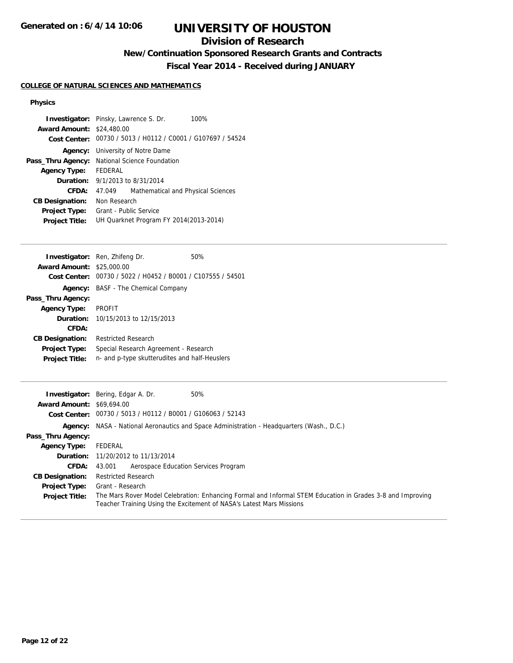## **Division of Research**

## **New/Continuation Sponsored Research Grants and Contracts**

**Fiscal Year 2014 - Received during JANUARY**

### **COLLEGE OF NATURAL SCIENCES AND MATHEMATICS**

#### **Physics**

|                                  | <b>Investigator:</b> Pinsky, Lawrence S. Dr.<br>100%        |  |  |
|----------------------------------|-------------------------------------------------------------|--|--|
| <b>Award Amount: \$24,480.00</b> |                                                             |  |  |
|                                  | Cost Center: 00730 / 5013 / H0112 / C0001 / G107697 / 54524 |  |  |
| Agency:                          | University of Notre Dame                                    |  |  |
| Pass_Thru Agency:                | National Science Foundation                                 |  |  |
| <b>Agency Type:</b>              | FEDERAL                                                     |  |  |
| <b>Duration:</b>                 | 9/1/2013 to 8/31/2014                                       |  |  |
| CFDA:                            | Mathematical and Physical Sciences<br>47.049                |  |  |
| <b>CB Designation:</b>           | Non Research                                                |  |  |
| <b>Project Type:</b>             | Grant - Public Service                                      |  |  |
| <b>Project Title:</b>            | UH Quarknet Program FY 2014(2013-2014)                      |  |  |

|                                  | <b>Investigator:</b> Ren, Zhifeng Dr.          | 50% |
|----------------------------------|------------------------------------------------|-----|
| <b>Award Amount: \$25,000.00</b> |                                                |     |
| Cost Center:                     | 00730 / 5022 / H0452 / B0001 / C107555 / 54501 |     |
| Agency:                          | BASF - The Chemical Company                    |     |
| Pass_Thru Agency:                |                                                |     |
| <b>Agency Type:</b>              | <b>PROFIT</b>                                  |     |
|                                  | <b>Duration:</b> 10/15/2013 to 12/15/2013      |     |
| CFDA:                            |                                                |     |
| <b>CB Designation:</b>           | <b>Restricted Research</b>                     |     |
| <b>Project Type:</b>             | Special Research Agreement - Research          |     |
| <b>Project Title:</b>            | n- and p-type skutterudites and half-Heuslers  |     |

|                                  | 50%<br><b>Investigator:</b> Bering, Edgar A. Dr.                                                                                                                                   |
|----------------------------------|------------------------------------------------------------------------------------------------------------------------------------------------------------------------------------|
| <b>Award Amount: \$69,694.00</b> |                                                                                                                                                                                    |
|                                  | Cost Center: 00730 / 5013 / H0112 / B0001 / G106063 / 52143                                                                                                                        |
|                                  | <b>Agency:</b> NASA - National Aeronautics and Space Administration - Headquarters (Wash., D.C.)                                                                                   |
| Pass_Thru Agency:                |                                                                                                                                                                                    |
| <b>Agency Type:</b>              | FEDERAL                                                                                                                                                                            |
|                                  | <b>Duration:</b> 11/20/2012 to 11/13/2014                                                                                                                                          |
| <b>CFDA:</b>                     | Aerospace Education Services Program<br>43.001                                                                                                                                     |
| <b>CB Designation:</b>           | <b>Restricted Research</b>                                                                                                                                                         |
| <b>Project Type:</b>             | Grant - Research                                                                                                                                                                   |
| <b>Project Title:</b>            | The Mars Rover Model Celebration: Enhancing Formal and Informal STEM Education in Grades 3-8 and Improving<br>Teacher Training Using the Excitement of NASA's Latest Mars Missions |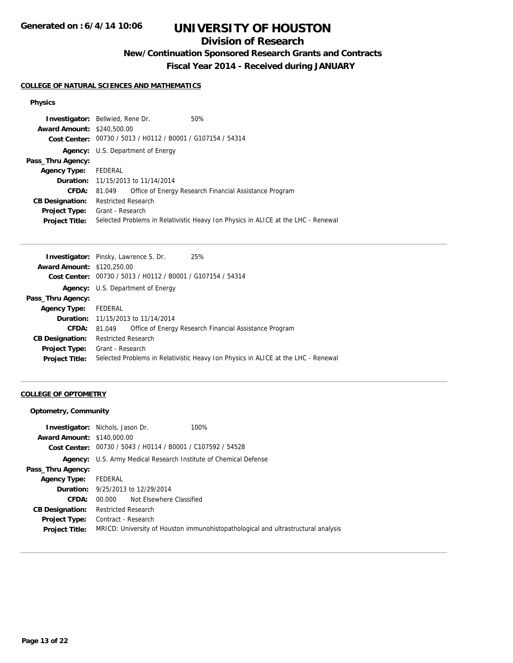## **Division of Research**

## **New/Continuation Sponsored Research Grants and Contracts**

**Fiscal Year 2014 - Received during JANUARY**

#### **COLLEGE OF NATURAL SCIENCES AND MATHEMATICS**

### **Physics**

|         | 50%                                                                                                                                                                                                                                                                             |
|---------|---------------------------------------------------------------------------------------------------------------------------------------------------------------------------------------------------------------------------------------------------------------------------------|
|         |                                                                                                                                                                                                                                                                                 |
|         |                                                                                                                                                                                                                                                                                 |
|         |                                                                                                                                                                                                                                                                                 |
|         |                                                                                                                                                                                                                                                                                 |
| FEDERAL |                                                                                                                                                                                                                                                                                 |
|         |                                                                                                                                                                                                                                                                                 |
| 81.049  | Office of Energy Research Financial Assistance Program                                                                                                                                                                                                                          |
|         |                                                                                                                                                                                                                                                                                 |
|         |                                                                                                                                                                                                                                                                                 |
|         | Selected Problems in Relativistic Heavy Ion Physics in ALICE at the LHC - Renewal                                                                                                                                                                                               |
|         | <b>Investigator:</b> Bellwied, Rene Dr.<br><b>Award Amount: \$240,500.00</b><br>Cost Center: 00730 / 5013 / H0112 / B0001 / G107154 / 54314<br><b>Agency:</b> U.S. Department of Energy<br><b>Duration:</b> 11/15/2013 to 11/14/2014<br>Restricted Research<br>Grant - Research |

| <b>Investigator:</b> Pinsky, Lawrence S. Dr. |                            |                                                | 25%                                                                               |
|----------------------------------------------|----------------------------|------------------------------------------------|-----------------------------------------------------------------------------------|
| <b>Award Amount: \$120,250.00</b>            |                            |                                                |                                                                                   |
| <b>Cost Center:</b>                          |                            | 00730 / 5013 / H0112 / B0001 / G107154 / 54314 |                                                                                   |
|                                              |                            | <b>Agency:</b> U.S. Department of Energy       |                                                                                   |
| Pass_Thru Agency:                            |                            |                                                |                                                                                   |
| <b>Agency Type:</b>                          | FEDERAL                    |                                                |                                                                                   |
|                                              |                            | <b>Duration:</b> 11/15/2013 to 11/14/2014      |                                                                                   |
| CFDA:                                        | 81.049                     |                                                | Office of Energy Research Financial Assistance Program                            |
| <b>CB Designation:</b>                       | <b>Restricted Research</b> |                                                |                                                                                   |
| <b>Project Type:</b>                         | Grant - Research           |                                                |                                                                                   |
| <b>Project Title:</b>                        |                            |                                                | Selected Problems in Relativistic Heavy Ion Physics in ALICE at the LHC - Renewal |
|                                              |                            |                                                |                                                                                   |

### **COLLEGE OF OPTOMETRY**

### **Optometry, Community**

| <b>Award Amount: \$140,000.00</b> | <b>Investigator:</b> Nichols, Jason Dr.                  | 100%                                                                              |
|-----------------------------------|----------------------------------------------------------|-----------------------------------------------------------------------------------|
| Cost Center:                      | 00730 / 5043 / H0114 / B0001 / C107592 / 54528           |                                                                                   |
|                                   |                                                          |                                                                                   |
| Agency:                           | U.S. Army Medical Research Institute of Chemical Defense |                                                                                   |
| Pass_Thru Agency:                 |                                                          |                                                                                   |
| <b>Agency Type:</b>               | FEDERAL                                                  |                                                                                   |
|                                   | <b>Duration:</b> 9/25/2013 to 12/29/2014                 |                                                                                   |
| CFDA:                             | 00.000 Not Elsewhere Classified                          |                                                                                   |
| <b>CB Designation:</b>            | <b>Restricted Research</b>                               |                                                                                   |
| <b>Project Type:</b>              | Contract - Research                                      |                                                                                   |
| <b>Project Title:</b>             |                                                          | MRICD: University of Houston immunohistopathological and ultrastructural analysis |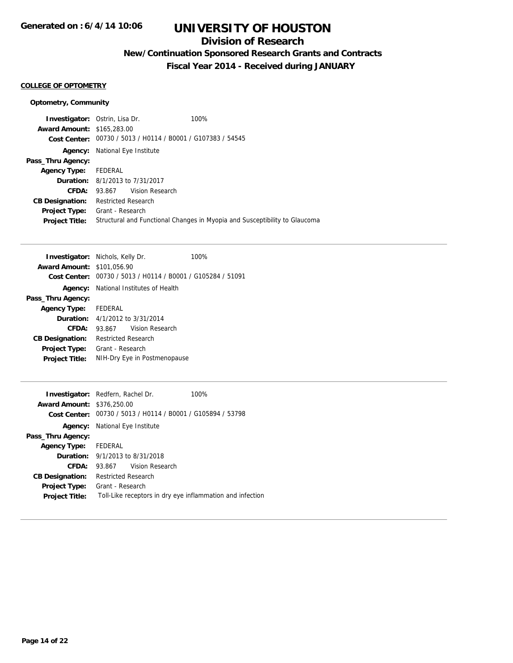## **Division of Research**

**New/Continuation Sponsored Research Grants and Contracts**

**Fiscal Year 2014 - Received during JANUARY**

### **COLLEGE OF OPTOMETRY**

### **Optometry, Community**

| <b>Investigator:</b> Ostrin, Lisa Dr.  |                                       |                                                             | 100%                                                                       |
|----------------------------------------|---------------------------------------|-------------------------------------------------------------|----------------------------------------------------------------------------|
| <b>Award Amount: \$165,283.00</b>      |                                       |                                                             |                                                                            |
|                                        |                                       | Cost Center: 00730 / 5013 / H0114 / B0001 / G107383 / 54545 |                                                                            |
|                                        | <b>Agency:</b> National Eye Institute |                                                             |                                                                            |
| Pass_Thru Agency:                      |                                       |                                                             |                                                                            |
| <b>Agency Type:</b>                    | FEDERAL                               |                                                             |                                                                            |
| <b>Duration:</b> 8/1/2013 to 7/31/2017 |                                       |                                                             |                                                                            |
| CFDA:                                  |                                       | 93.867 Vision Research                                      |                                                                            |
| <b>CB Designation:</b>                 | <b>Restricted Research</b>            |                                                             |                                                                            |
| <b>Project Type:</b>                   | Grant - Research                      |                                                             |                                                                            |
| <b>Project Title:</b>                  |                                       |                                                             | Structural and Functional Changes in Myopia and Susceptibility to Glaucoma |
|                                        |                                       |                                                             |                                                                            |

| <b>Investigator:</b> Nichols, Kelly Dr. |                     |                                                             | 100% |
|-----------------------------------------|---------------------|-------------------------------------------------------------|------|
| <b>Award Amount: \$101,056.90</b>       |                     |                                                             |      |
|                                         |                     | Cost Center: 00730 / 5013 / H0114 / B0001 / G105284 / 51091 |      |
|                                         |                     | <b>Agency:</b> National Institutes of Health                |      |
| Pass_Thru Agency:                       |                     |                                                             |      |
| Agency Type: FEDERAL                    |                     |                                                             |      |
|                                         |                     | <b>Duration:</b> 4/1/2012 to 3/31/2014                      |      |
| CFDA:                                   |                     | 93.867 Vision Research                                      |      |
| <b>CB Designation:</b>                  | Restricted Research |                                                             |      |
| <b>Project Type:</b>                    | Grant - Research    |                                                             |      |
| <b>Project Title:</b>                   |                     | NIH-Dry Eye in Postmenopause                                |      |

|                                   | <b>Investigator:</b> Redfern, Rachel Dr.                    | 100% |  |
|-----------------------------------|-------------------------------------------------------------|------|--|
| <b>Award Amount: \$376,250.00</b> |                                                             |      |  |
|                                   | Cost Center: 00730 / 5013 / H0114 / B0001 / G105894 / 53798 |      |  |
|                                   | <b>Agency:</b> National Eye Institute                       |      |  |
| Pass_Thru Agency:                 |                                                             |      |  |
| Agency Type: FEDERAL              |                                                             |      |  |
|                                   | <b>Duration:</b> 9/1/2013 to 8/31/2018                      |      |  |
| CFDA:                             | 93.867 Vision Research                                      |      |  |
| <b>CB Designation:</b>            | <b>Restricted Research</b>                                  |      |  |
| <b>Project Type:</b>              | Grant - Research                                            |      |  |
| <b>Project Title:</b>             | Toll-Like receptors in dry eye inflammation and infection   |      |  |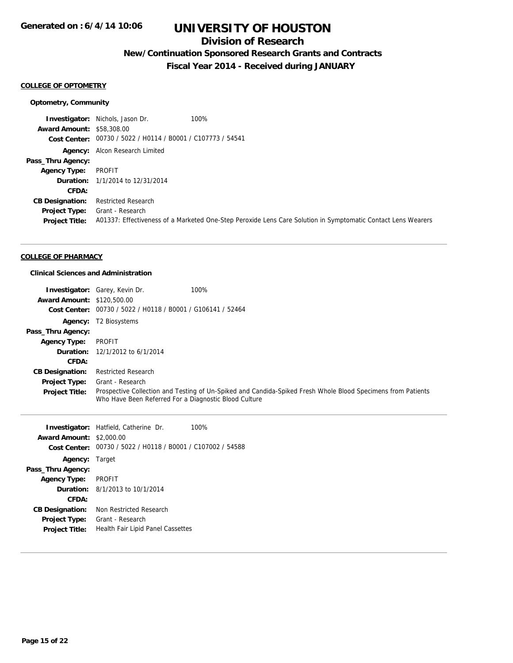## **Division of Research**

## **New/Continuation Sponsored Research Grants and Contracts**

**Fiscal Year 2014 - Received during JANUARY**

#### **COLLEGE OF OPTOMETRY**

#### **Optometry, Community**

**Investigator:** Nichols, Jason Dr. 100% **Award Amount:** \$58,308.00 **Cost Center:** 00730 / 5022 / H0114 / B0001 / C107773 / 54541 **Agency:** Alcon Research Limited **Pass\_Thru Agency: Agency Type:** PROFIT **Duration:** 1/1/2014 to 12/31/2014 **CFDA: CB Designation:** Restricted Research **Project Type:** Grant - Research **Project Title:** A01337: Effectiveness of a Marketed One-Step Peroxide Lens Care Solution in Symptomatic Contact Lens Wearers

#### **COLLEGE OF PHARMACY**

#### **Clinical Sciences and Administration**

**Project Type:** Grant - Research

**Project Title:** Health Fair Lipid Panel Cassettes

|                                   | <b>Investigator:</b> Garey, Kevin Dr.                 | 100%                                                                                                         |
|-----------------------------------|-------------------------------------------------------|--------------------------------------------------------------------------------------------------------------|
| <b>Award Amount: \$120,500.00</b> |                                                       |                                                                                                              |
| <b>Cost Center:</b>               | 00730 / 5022 / H0118 / B0001 / G106141 / 52464        |                                                                                                              |
| Agency:                           | T2 Biosystems                                         |                                                                                                              |
| Pass_Thru Agency:                 |                                                       |                                                                                                              |
| <b>Agency Type:</b>               | PROFIT                                                |                                                                                                              |
| Duration:                         | 12/1/2012 to 6/1/2014                                 |                                                                                                              |
| CFDA:                             |                                                       |                                                                                                              |
| <b>CB Designation:</b>            | <b>Restricted Research</b>                            |                                                                                                              |
| <b>Project Type:</b>              | Grant - Research                                      |                                                                                                              |
| <b>Project Title:</b>             | Who Have Been Referred For a Diagnostic Blood Culture | Prospective Collection and Testing of Un-Spiked and Candida-Spiked Fresh Whole Blood Specimens from Patients |
|                                   | <b>Investigator:</b> Hatfield, Catherine Dr.          | 100%                                                                                                         |
| <b>Award Amount: \$2,000.00</b>   |                                                       |                                                                                                              |
| <b>Cost Center:</b>               | 00730 / 5022 / H0118 / B0001 / C107002 / 54588        |                                                                                                              |
| <b>Agency: Target</b>             |                                                       |                                                                                                              |
| Pass_Thru Agency:                 |                                                       |                                                                                                              |
| <b>Agency Type:</b>               | <b>PROFIT</b>                                         |                                                                                                              |
| Duration:                         | 8/1/2013 to 10/1/2014                                 |                                                                                                              |
| CFDA:                             |                                                       |                                                                                                              |
| <b>CB Designation:</b>            | Non Restricted Research                               |                                                                                                              |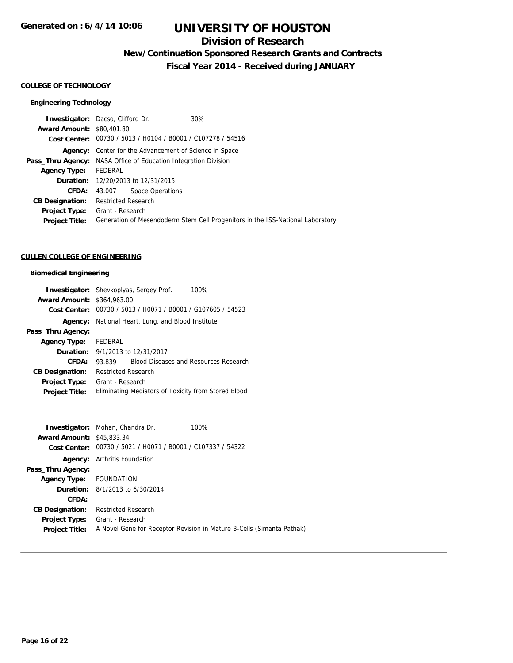## **Division of Research**

**New/Continuation Sponsored Research Grants and Contracts**

**Fiscal Year 2014 - Received during JANUARY**

#### **COLLEGE OF TECHNOLOGY**

### **Engineering Technology**

| <b>Investigator:</b> Dacso, Clifford Dr. |                            |                                                             | 30%                                                                            |
|------------------------------------------|----------------------------|-------------------------------------------------------------|--------------------------------------------------------------------------------|
| <b>Award Amount: \$80,401.80</b>         |                            |                                                             |                                                                                |
|                                          |                            | Cost Center: 00730 / 5013 / H0104 / B0001 / C107278 / 54516 |                                                                                |
| Agency:                                  |                            | Center for the Advancement of Science in Space              |                                                                                |
| Pass_Thru Agency:                        |                            | NASA Office of Education Integration Division               |                                                                                |
| <b>Agency Type:</b>                      | FEDERAL                    |                                                             |                                                                                |
|                                          |                            | <b>Duration:</b> 12/20/2013 to 12/31/2015                   |                                                                                |
| CFDA:                                    | 43.007                     | Space Operations                                            |                                                                                |
| <b>CB Designation:</b>                   | <b>Restricted Research</b> |                                                             |                                                                                |
| <b>Project Type:</b>                     | Grant - Research           |                                                             |                                                                                |
| <b>Project Title:</b>                    |                            |                                                             | Generation of Mesendoderm Stem Cell Progenitors in the ISS-National Laboratory |
|                                          |                            |                                                             |                                                                                |

#### **CULLEN COLLEGE OF ENGINEERING**

### **Biomedical Engineering**

|                                   | <b>Investigator:</b> Shevkoplyas, Sergey Prof.<br>100%      |  |  |
|-----------------------------------|-------------------------------------------------------------|--|--|
| <b>Award Amount: \$364,963.00</b> |                                                             |  |  |
|                                   | Cost Center: 00730 / 5013 / H0071 / B0001 / G107605 / 54523 |  |  |
|                                   | <b>Agency:</b> National Heart, Lung, and Blood Institute    |  |  |
| Pass_Thru Agency:                 |                                                             |  |  |
| <b>Agency Type:</b>               | FEDERAL                                                     |  |  |
|                                   | <b>Duration:</b> 9/1/2013 to 12/31/2017                     |  |  |
| CFDA:                             | <b>Blood Diseases and Resources Research</b><br>93.839      |  |  |
| <b>CB Designation:</b>            | <b>Restricted Research</b>                                  |  |  |
| <b>Project Type:</b>              | Grant - Research                                            |  |  |
| <b>Project Title:</b>             | Eliminating Mediators of Toxicity from Stored Blood         |  |  |

| <b>Award Amount: \$45,833,34</b><br>Cost Center: | <b>Investigator:</b> Mohan, Chandra Dr.<br>00730 / 5021 / H0071 / B0001 / C107337 / 54322 | 100%                                                                  |
|--------------------------------------------------|-------------------------------------------------------------------------------------------|-----------------------------------------------------------------------|
|                                                  | <b>Agency:</b> Arthritis Foundation                                                       |                                                                       |
| Pass_Thru Agency:                                |                                                                                           |                                                                       |
| Agency Type: FOUNDATION                          |                                                                                           |                                                                       |
|                                                  | <b>Duration:</b> $8/1/2013$ to $6/30/2014$                                                |                                                                       |
| CFDA:                                            |                                                                                           |                                                                       |
| <b>CB Designation:</b>                           | <b>Restricted Research</b>                                                                |                                                                       |
| <b>Project Type:</b>                             | Grant - Research                                                                          |                                                                       |
| <b>Project Title:</b>                            |                                                                                           | A Novel Gene for Receptor Revision in Mature B-Cells (Simanta Pathak) |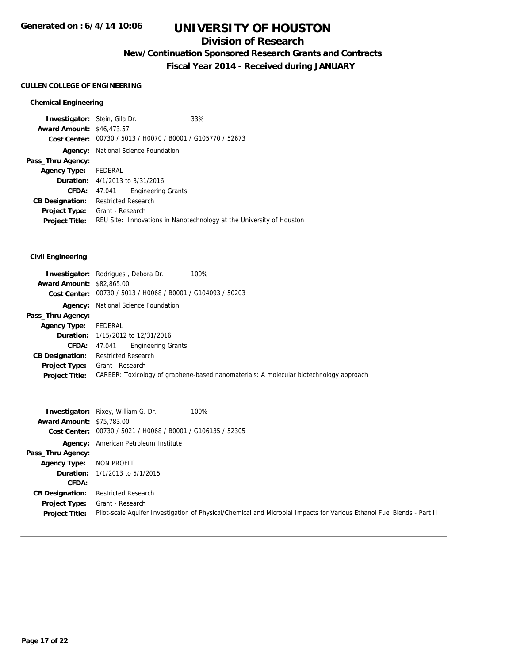## **Division of Research**

**New/Continuation Sponsored Research Grants and Contracts**

**Fiscal Year 2014 - Received during JANUARY**

### **CULLEN COLLEGE OF ENGINEERING**

### **Chemical Engineering**

| <b>Investigator:</b> Stein, Gila Dr. |                            |                                                             | 33%                                                                  |
|--------------------------------------|----------------------------|-------------------------------------------------------------|----------------------------------------------------------------------|
| <b>Award Amount: \$46,473.57</b>     |                            |                                                             |                                                                      |
|                                      |                            | Cost Center: 00730 / 5013 / H0070 / B0001 / G105770 / 52673 |                                                                      |
| Agency:                              |                            | National Science Foundation                                 |                                                                      |
| Pass_Thru Agency:                    |                            |                                                             |                                                                      |
| <b>Agency Type:</b>                  | FEDERAL                    |                                                             |                                                                      |
|                                      |                            | <b>Duration:</b> 4/1/2013 to 3/31/2016                      |                                                                      |
| CFDA:                                | 47.041                     | <b>Engineering Grants</b>                                   |                                                                      |
| <b>CB Designation:</b>               | <b>Restricted Research</b> |                                                             |                                                                      |
| <b>Project Type:</b>                 | Grant - Research           |                                                             |                                                                      |
| <b>Project Title:</b>                |                            |                                                             | REU Site: Innovations in Nanotechnology at the University of Houston |

### **Civil Engineering**

| <b>Award Amount: \$82,865.00</b> | 100%<br><b>Investigator:</b> Rodrigues, Debora Dr.                                     |
|----------------------------------|----------------------------------------------------------------------------------------|
|                                  | Cost Center: 00730 / 5013 / H0068 / B0001 / G104093 / 50203                            |
|                                  | <b>Agency:</b> National Science Foundation                                             |
| Pass_Thru Agency:                |                                                                                        |
| Agency Type: FEDERAL             |                                                                                        |
|                                  | <b>Duration:</b> 1/15/2012 to 12/31/2016                                               |
|                                  | Engineering Grants<br>CFDA: 47.041                                                     |
| <b>CB Designation:</b>           | <b>Restricted Research</b>                                                             |
|                                  | <b>Project Type:</b> Grant - Research                                                  |
| <b>Project Title:</b>            | CAREER: Toxicology of graphene-based nanomaterials: A molecular biotechnology approach |

|                                  | <b>Investigator:</b> Rixey, William G. Dr.<br>100%          |                                                                                                                        |
|----------------------------------|-------------------------------------------------------------|------------------------------------------------------------------------------------------------------------------------|
| <b>Award Amount: \$75,783.00</b> |                                                             |                                                                                                                        |
|                                  | Cost Center: 00730 / 5021 / H0068 / B0001 / G106135 / 52305 |                                                                                                                        |
|                                  | <b>Agency:</b> American Petroleum Institute                 |                                                                                                                        |
| Pass_Thru Agency:                |                                                             |                                                                                                                        |
| <b>Agency Type:</b>              | NON PROFIT                                                  |                                                                                                                        |
|                                  | <b>Duration:</b> $1/1/2013$ to $5/1/2015$                   |                                                                                                                        |
| <b>CFDA:</b>                     |                                                             |                                                                                                                        |
| <b>CB Designation:</b>           | <b>Restricted Research</b>                                  |                                                                                                                        |
| <b>Project Type:</b>             | Grant - Research                                            |                                                                                                                        |
| <b>Project Title:</b>            |                                                             | Pilot-scale Aquifer Investigation of Physical/Chemical and Microbial Impacts for Various Ethanol Fuel Blends - Part II |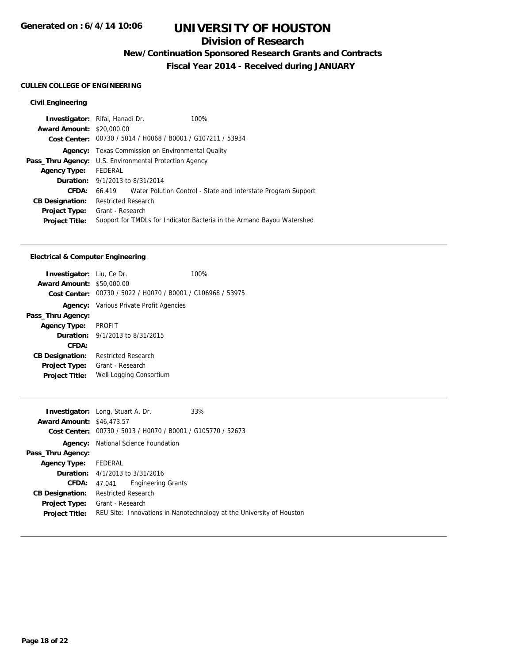## **Division of Research**

**New/Continuation Sponsored Research Grants and Contracts**

**Fiscal Year 2014 - Received during JANUARY**

### **CULLEN COLLEGE OF ENGINEERING**

### **Civil Engineering**

| <b>Investigator:</b> Rifai, Hanadi Dr.                        |                            |                                                             | 100%                                                                   |
|---------------------------------------------------------------|----------------------------|-------------------------------------------------------------|------------------------------------------------------------------------|
| <b>Award Amount: \$20,000.00</b>                              |                            |                                                             |                                                                        |
|                                                               |                            | Cost Center: 00730 / 5014 / H0068 / B0001 / G107211 / 53934 |                                                                        |
|                                                               |                            | <b>Agency:</b> Texas Commission on Environmental Quality    |                                                                        |
| <b>Pass_Thru Agency:</b> U.S. Environmental Protection Agency |                            |                                                             |                                                                        |
| <b>Agency Type:</b>                                           | FEDERAL                    |                                                             |                                                                        |
| <b>Duration:</b> $9/1/2013$ to $8/31/2014$                    |                            |                                                             |                                                                        |
| CFDA:                                                         |                            |                                                             | 66.419 Water Polution Control - State and Interstate Program Support   |
| <b>CB Designation:</b>                                        | <b>Restricted Research</b> |                                                             |                                                                        |
| <b>Project Type:</b>                                          | Grant - Research           |                                                             |                                                                        |
| <b>Project Title:</b>                                         |                            |                                                             | Support for TMDLs for Indicator Bacteria in the Armand Bayou Watershed |
|                                                               |                            |                                                             |                                                                        |

#### **Electrical & Computer Engineering**

| <b>Investigator:</b> Liu, Ce Dr. |                                                             | 100% |
|----------------------------------|-------------------------------------------------------------|------|
| <b>Award Amount: \$50,000.00</b> |                                                             |      |
|                                  | Cost Center: 00730 / 5022 / H0070 / B0001 / C106968 / 53975 |      |
|                                  | <b>Agency:</b> Various Private Profit Agencies              |      |
| Pass_Thru Agency:                |                                                             |      |
| <b>Agency Type:</b>              | PROFIT                                                      |      |
|                                  | <b>Duration:</b> $9/1/2013$ to $8/31/2015$                  |      |
| CFDA:                            |                                                             |      |
| <b>CB Designation:</b>           | <b>Restricted Research</b>                                  |      |
| <b>Project Type:</b>             | Grant - Research                                            |      |
| <b>Project Title:</b>            | Well Logging Consortium                                     |      |
|                                  |                                                             |      |

| <b>Investigator:</b> Long, Stuart A. Dr. |                                            |                           | 33%                                                                  |
|------------------------------------------|--------------------------------------------|---------------------------|----------------------------------------------------------------------|
| <b>Award Amount: \$46,473.57</b>         |                                            |                           |                                                                      |
|                                          |                                            |                           | Cost Center: 00730 / 5013 / H0070 / B0001 / G105770 / 52673          |
|                                          | <b>Agency:</b> National Science Foundation |                           |                                                                      |
| Pass_Thru Agency:                        |                                            |                           |                                                                      |
| Agency Type: FEDERAL                     |                                            |                           |                                                                      |
|                                          | <b>Duration:</b> 4/1/2013 to 3/31/2016     |                           |                                                                      |
| CFDA:                                    | 47.041                                     | <b>Engineering Grants</b> |                                                                      |
| <b>CB Designation:</b>                   | <b>Restricted Research</b>                 |                           |                                                                      |
| <b>Project Type:</b>                     | Grant - Research                           |                           |                                                                      |
| <b>Project Title:</b>                    |                                            |                           | REU Site: Innovations in Nanotechnology at the University of Houston |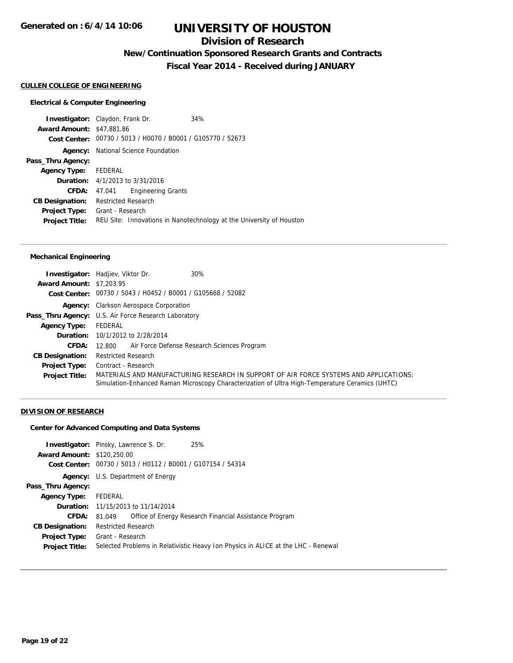### **Division of Research**

**New/Continuation Sponsored Research Grants and Contracts**

**Fiscal Year 2014 - Received during JANUARY**

#### **CULLEN COLLEGE OF ENGINEERING**

#### **Electrical & Computer Engineering**

**Investigator:** Claydon, Frank Dr. 34% **Award Amount:** \$47,881.86 **Cost Center:** 00730 / 5013 / H0070 / B0001 / G105770 / 52673 **Agency:** National Science Foundation **Pass\_Thru Agency: Agency Type:** FEDERAL **Duration:** 4/1/2013 to 3/31/2016 **CFDA:** 47.041 Engineering Grants **CB Designation:** Restricted Research **Project Type:** Grant - Research **Project Title:** REU Site: Innovations in Nanotechnology at the University of Houston

#### **Mechanical Engineering**

|                                 | 30%<br><b>Investigator:</b> Hadjiev, Viktor Dr.                                                                                                                                           |  |  |
|---------------------------------|-------------------------------------------------------------------------------------------------------------------------------------------------------------------------------------------|--|--|
| <b>Award Amount: \$7,203.95</b> |                                                                                                                                                                                           |  |  |
|                                 | Cost Center: 00730 / 5043 / H0452 / B0001 / G105668 / 52082                                                                                                                               |  |  |
|                                 | <b>Agency:</b> Clarkson Aerospace Corporation                                                                                                                                             |  |  |
|                                 | <b>Pass_Thru Agency:</b> U.S. Air Force Research Laboratory                                                                                                                               |  |  |
| <b>Agency Type:</b>             | FEDERAL                                                                                                                                                                                   |  |  |
|                                 | <b>Duration:</b> 10/1/2012 to 2/28/2014                                                                                                                                                   |  |  |
| <b>CFDA:</b>                    | Air Force Defense Research Sciences Program<br>12.800                                                                                                                                     |  |  |
| <b>CB Designation:</b>          | <b>Restricted Research</b>                                                                                                                                                                |  |  |
| <b>Project Type:</b>            | Contract - Research                                                                                                                                                                       |  |  |
| <b>Project Title:</b>           | MATERIALS AND MANUFACTURING RESEARCH IN SUPPORT OF AIR FORCE SYSTEMS AND APPLICATIONS:<br>Simulation-Enhanced Raman Microscopy Characterization of Ultra High-Temperature Ceramics (UHTC) |  |  |

#### **DIVISION OF RESEARCH**

#### **Center for Advanced Computing and Data Systems**

| <b>Award Amount: \$120,250.00</b> | <b>Investigator:</b> Pinsky, Lawrence S. Dr.                | 25%                                                                               |
|-----------------------------------|-------------------------------------------------------------|-----------------------------------------------------------------------------------|
|                                   | Cost Center: 00730 / 5013 / H0112 / B0001 / G107154 / 54314 |                                                                                   |
| Agency:                           | U.S. Department of Energy                                   |                                                                                   |
| Pass_Thru Agency:                 |                                                             |                                                                                   |
| <b>Agency Type:</b>               | FEDERAL                                                     |                                                                                   |
|                                   | <b>Duration:</b> 11/15/2013 to 11/14/2014                   |                                                                                   |
| CFDA:                             | 81.049                                                      | Office of Energy Research Financial Assistance Program                            |
| <b>CB Designation:</b>            | <b>Restricted Research</b>                                  |                                                                                   |
| <b>Project Type:</b>              | Grant - Research                                            |                                                                                   |
| <b>Project Title:</b>             |                                                             | Selected Problems in Relativistic Heavy Ion Physics in ALICE at the LHC - Renewal |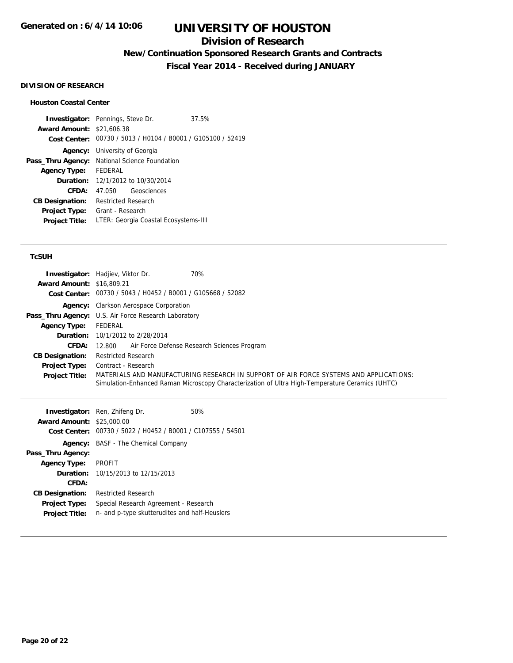## **Division of Research**

**New/Continuation Sponsored Research Grants and Contracts**

**Fiscal Year 2014 - Received during JANUARY**

### **DIVISION OF RESEARCH**

### **Houston Coastal Center**

|                                  | <b>Investigator:</b> Pennings, Steve Dr.                    | 37.5% |  |
|----------------------------------|-------------------------------------------------------------|-------|--|
| <b>Award Amount: \$21,606.38</b> |                                                             |       |  |
|                                  | Cost Center: 00730 / 5013 / H0104 / B0001 / G105100 / 52419 |       |  |
|                                  | <b>Agency:</b> University of Georgia                        |       |  |
| Pass_Thru Agency:                | <b>National Science Foundation</b>                          |       |  |
| <b>Agency Type:</b>              | FEDERAL                                                     |       |  |
|                                  | <b>Duration:</b> 12/1/2012 to 10/30/2014                    |       |  |
| CFDA:                            | Geosciences                                                 |       |  |
| <b>CB Designation:</b>           | Restricted Research                                         |       |  |
| <b>Project Type:</b>             | Grant - Research                                            |       |  |
| <b>Project Title:</b>            | LTER: Georgia Coastal Ecosystems-III                        |       |  |
|                                  |                                                             |       |  |

### **TcSUH**

| <b>Award Amount: \$16,809.21</b> | 70%<br><b>Investigator:</b> Hadjiev, Viktor Dr.<br>Cost Center: 00730 / 5043 / H0452 / B0001 / G105668 / 52082                                                                            |
|----------------------------------|-------------------------------------------------------------------------------------------------------------------------------------------------------------------------------------------|
|                                  | <b>Agency:</b> Clarkson Aerospace Corporation                                                                                                                                             |
|                                  | <b>Pass_Thru Agency:</b> U.S. Air Force Research Laboratory                                                                                                                               |
| <b>Agency Type:</b>              | FEDERAL                                                                                                                                                                                   |
|                                  | <b>Duration:</b> 10/1/2012 to 2/28/2014                                                                                                                                                   |
| <b>CFDA:</b>                     | Air Force Defense Research Sciences Program<br>12.800                                                                                                                                     |
| <b>CB Designation:</b>           | <b>Restricted Research</b>                                                                                                                                                                |
| <b>Project Type:</b>             | Contract - Research                                                                                                                                                                       |
| <b>Project Title:</b>            | MATERIALS AND MANUFACTURING RESEARCH IN SUPPORT OF AIR FORCE SYSTEMS AND APPLICATIONS:<br>Simulation-Enhanced Raman Microscopy Characterization of Ultra High-Temperature Ceramics (UHTC) |

|                        | <b>Investigator:</b> Ren, Zhifeng Dr.                       | 50% |
|------------------------|-------------------------------------------------------------|-----|
| <b>Award Amount:</b>   | \$25,000.00                                                 |     |
|                        | Cost Center: 00730 / 5022 / H0452 / B0001 / C107555 / 54501 |     |
| Agency:                | BASF - The Chemical Company                                 |     |
| Pass_Thru Agency:      |                                                             |     |
| <b>Agency Type:</b>    | <b>PROFIT</b>                                               |     |
| <b>Duration:</b>       | 10/15/2013 to 12/15/2013                                    |     |
| CFDA:                  |                                                             |     |
| <b>CB Designation:</b> | <b>Restricted Research</b>                                  |     |
| <b>Project Type:</b>   | Special Research Agreement - Research                       |     |
| <b>Project Title:</b>  | n- and p-type skutterudites and half-Heuslers               |     |
|                        |                                                             |     |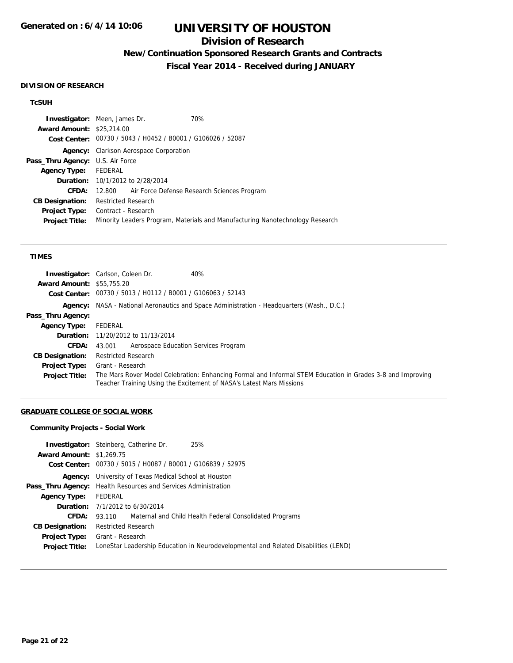## **Division of Research**

## **New/Continuation Sponsored Research Grants and Contracts**

**Fiscal Year 2014 - Received during JANUARY**

#### **DIVISION OF RESEARCH**

#### **TcSUH**

| <b>Investigator:</b> Meen, James Dr.    |                                               |                                                             | 70%                                                                           |
|-----------------------------------------|-----------------------------------------------|-------------------------------------------------------------|-------------------------------------------------------------------------------|
| <b>Award Amount: \$25,214.00</b>        |                                               |                                                             |                                                                               |
|                                         |                                               | Cost Center: 00730 / 5043 / H0452 / B0001 / G106026 / 52087 |                                                                               |
|                                         | <b>Agency:</b> Clarkson Aerospace Corporation |                                                             |                                                                               |
| <b>Pass_Thru Agency: U.S. Air Force</b> |                                               |                                                             |                                                                               |
| <b>Agency Type:</b>                     | FEDERAL                                       |                                                             |                                                                               |
|                                         |                                               | <b>Duration:</b> 10/1/2012 to 2/28/2014                     |                                                                               |
| CFDA:                                   |                                               |                                                             | 12.800 Air Force Defense Research Sciences Program                            |
| <b>CB Designation:</b>                  | <b>Restricted Research</b>                    |                                                             |                                                                               |
| <b>Project Type:</b>                    | Contract - Research                           |                                                             |                                                                               |
| <b>Project Title:</b>                   |                                               |                                                             | Minority Leaders Program, Materials and Manufacturing Nanotechnology Research |

#### **TIMES**

|                                  | <b>Investigator:</b> Carlson, Coleen Dr.<br>40%                                                                                                                                    |
|----------------------------------|------------------------------------------------------------------------------------------------------------------------------------------------------------------------------------|
| <b>Award Amount: \$55,755.20</b> |                                                                                                                                                                                    |
|                                  | Cost Center: 00730 / 5013 / H0112 / B0001 / G106063 / 52143                                                                                                                        |
|                                  | <b>Agency:</b> NASA - National Aeronautics and Space Administration - Headquarters (Wash., D.C.)                                                                                   |
| Pass_Thru Agency:                |                                                                                                                                                                                    |
| <b>Agency Type:</b>              | FEDERAL                                                                                                                                                                            |
|                                  | <b>Duration:</b> 11/20/2012 to 11/13/2014                                                                                                                                          |
| <b>CFDA:</b>                     | Aerospace Education Services Program<br>43.001                                                                                                                                     |
| <b>CB Designation:</b>           | <b>Restricted Research</b>                                                                                                                                                         |
| <b>Project Type:</b>             | Grant - Research                                                                                                                                                                   |
| <b>Project Title:</b>            | The Mars Rover Model Celebration: Enhancing Formal and Informal STEM Education in Grades 3-8 and Improving<br>Teacher Training Using the Excitement of NASA's Latest Mars Missions |

### **GRADUATE COLLEGE OF SOCIAL WORK**

### **Community Projects - Social Work**

| <b>Award Amount: \$1,269.75</b> | <b>Investigator:</b> Steinberg, Catherine Dr.<br>25%                                |
|---------------------------------|-------------------------------------------------------------------------------------|
|                                 | Cost Center: 00730 / 5015 / H0087 / B0001 / G106839 / 52975                         |
|                                 | <b>Agency:</b> University of Texas Medical School at Houston                        |
|                                 | <b>Pass_Thru Agency:</b> Health Resources and Services Administration               |
| <b>Agency Type:</b>             | FEDERAL                                                                             |
|                                 | <b>Duration:</b> 7/1/2012 to 6/30/2014                                              |
| <b>CFDA:</b>                    | 93.110 Maternal and Child Health Federal Consolidated Programs                      |
| <b>CB Designation:</b>          | <b>Restricted Research</b>                                                          |
| <b>Project Type:</b>            | Grant - Research                                                                    |
| <b>Project Title:</b>           | LoneStar Leadership Education in Neurodevelopmental and Related Disabilities (LEND) |